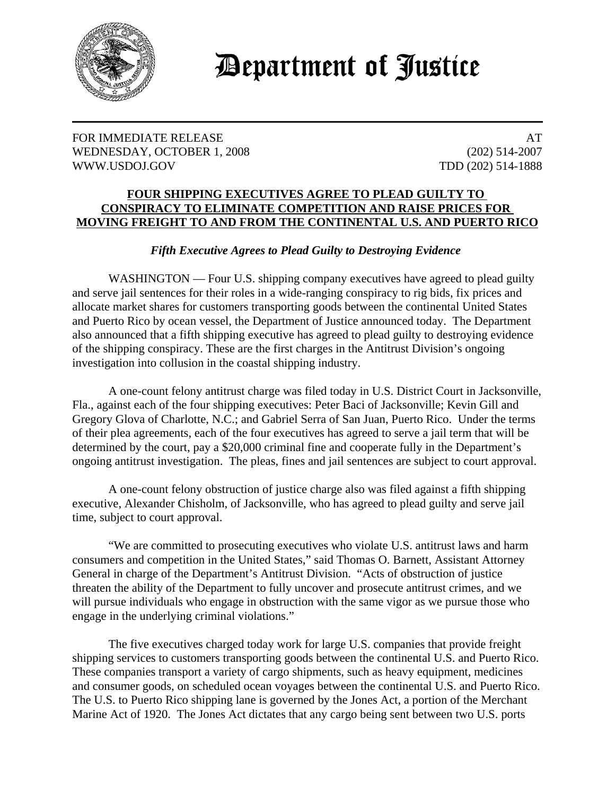

## **Department of Justice**

## FOR IMMEDIATE RELEASE AT A SERIES AT A SERIES AT A SERIES AT A SERIES AND A SERIES AT A SERIES AND A SERIES AT WEDNESDAY, OCTOBER 1, 2008 (202) 514-2007 WWW.USDOJ.GOV TDD (202) 514-1888

## **FOUR SHIPPING EXECUTIVES AGREE TO PLEAD GUILTY TO CONSPIRACY TO ELIMINATE COMPETITION AND RAISE PRICES FOR MOVING FREIGHT TO AND FROM THE CONTINENTAL U.S. AND PUERTO RICO**

## *Fifth Executive Agrees to Plead Guilty to Destroying Evidence*

WASHINGTON — Four U.S. shipping company executives have agreed to plead guilty and serve jail sentences for their roles in a wide-ranging conspiracy to rig bids, fix prices and allocate market shares for customers transporting goods between the continental United States and Puerto Rico by ocean vessel, the Department of Justice announced today. The Department also announced that a fifth shipping executive has agreed to plead guilty to destroying evidence of the shipping conspiracy. These are the first charges in the Antitrust Division's ongoing investigation into collusion in the coastal shipping industry.

A one-count felony antitrust charge was filed today in U.S. District Court in Jacksonville, Fla., against each of the four shipping executives: Peter Baci of Jacksonville; Kevin Gill and Gregory Glova of Charlotte, N.C.; and Gabriel Serra of San Juan, Puerto Rico. Under the terms of their plea agreements, each of the four executives has agreed to serve a jail term that will be determined by the court, pay a \$20,000 criminal fine and cooperate fully in the Department's ongoing antitrust investigation. The pleas, fines and jail sentences are subject to court approval.

A one-count felony obstruction of justice charge also was filed against a fifth shipping executive, Alexander Chisholm, of Jacksonville, who has agreed to plead guilty and serve jail time, subject to court approval.

"We are committed to prosecuting executives who violate U.S. antitrust laws and harm consumers and competition in the United States," said Thomas O. Barnett, Assistant Attorney General in charge of the Department's Antitrust Division. "Acts of obstruction of justice threaten the ability of the Department to fully uncover and prosecute antitrust crimes, and we will pursue individuals who engage in obstruction with the same vigor as we pursue those who engage in the underlying criminal violations."

 The five executives charged today work for large U.S. companies that provide freight shipping services to customers transporting goods between the continental U.S. and Puerto Rico. These companies transport a variety of cargo shipments, such as heavy equipment, medicines and consumer goods, on scheduled ocean voyages between the continental U.S. and Puerto Rico. The U.S. to Puerto Rico shipping lane is governed by the Jones Act, a portion of the Merchant Marine Act of 1920. The Jones Act dictates that any cargo being sent between two U.S. ports